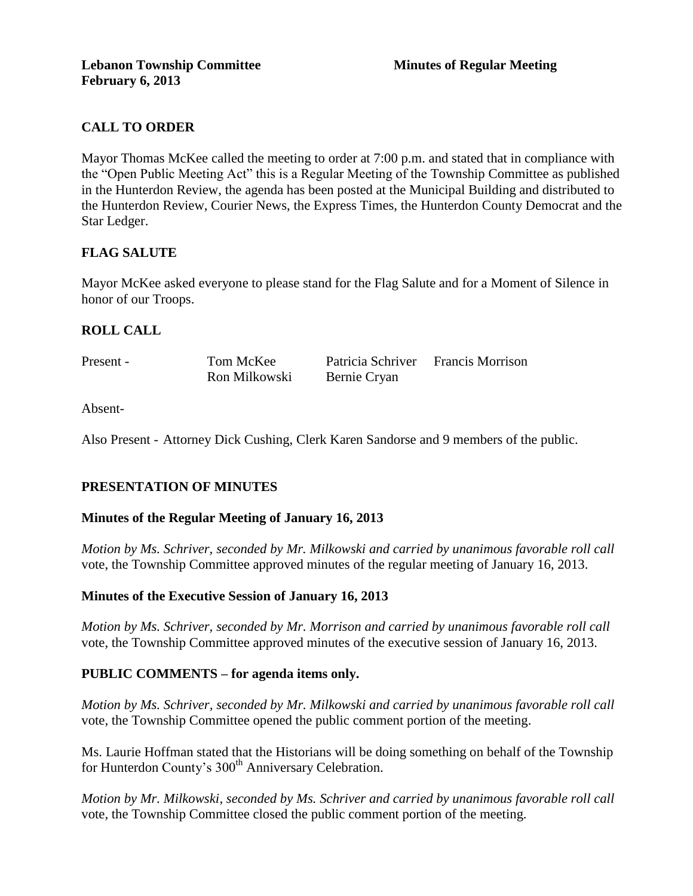## **CALL TO ORDER**

Mayor Thomas McKee called the meeting to order at 7:00 p.m. and stated that in compliance with the "Open Public Meeting Act" this is a Regular Meeting of the Township Committee as published in the Hunterdon Review, the agenda has been posted at the Municipal Building and distributed to the Hunterdon Review, Courier News, the Express Times, the Hunterdon County Democrat and the Star Ledger.

## **FLAG SALUTE**

Mayor McKee asked everyone to please stand for the Flag Salute and for a Moment of Silence in honor of our Troops.

## **ROLL CALL**

| Present - | Tom McKee     | Patricia Schriver Francis Morrison |  |
|-----------|---------------|------------------------------------|--|
|           | Ron Milkowski | Bernie Cryan                       |  |

Absent-

Also Present - Attorney Dick Cushing, Clerk Karen Sandorse and 9 members of the public.

## **PRESENTATION OF MINUTES**

## **Minutes of the Regular Meeting of January 16, 2013**

*Motion by Ms. Schriver, seconded by Mr. Milkowski and carried by unanimous favorable roll call*  vote, the Township Committee approved minutes of the regular meeting of January 16, 2013.

## **Minutes of the Executive Session of January 16, 2013**

*Motion by Ms. Schriver, seconded by Mr. Morrison and carried by unanimous favorable roll call*  vote, the Township Committee approved minutes of the executive session of January 16, 2013.

## **PUBLIC COMMENTS – for agenda items only.**

*Motion by Ms. Schriver, seconded by Mr. Milkowski and carried by unanimous favorable roll call*  vote*,* the Township Committee opened the public comment portion of the meeting.

Ms. Laurie Hoffman stated that the Historians will be doing something on behalf of the Township for Hunterdon County's 300<sup>th</sup> Anniversary Celebration.

*Motion by Mr. Milkowski, seconded by Ms. Schriver and carried by unanimous favorable roll call*  vote*,* the Township Committee closed the public comment portion of the meeting.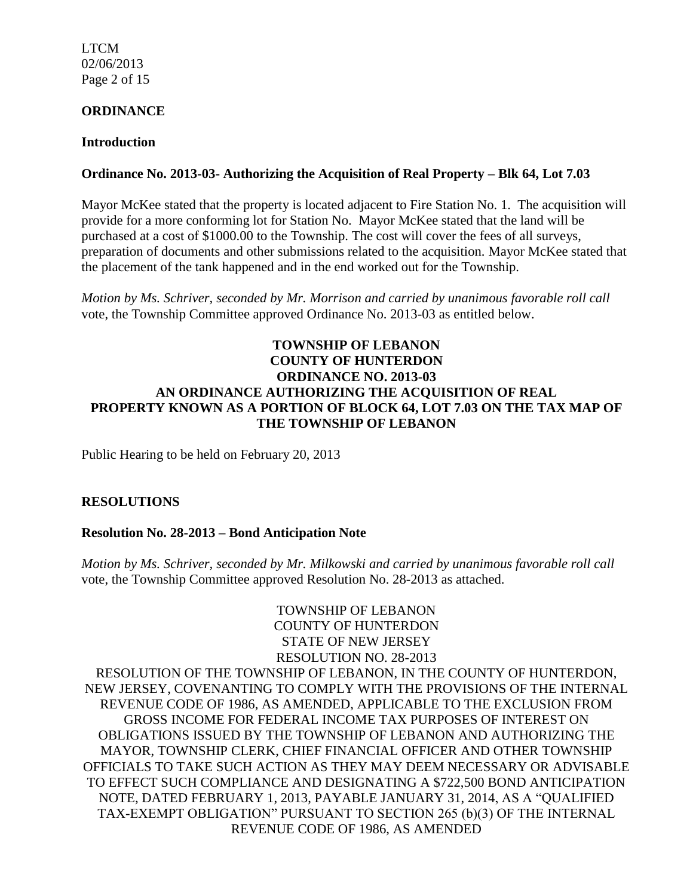LTCM 02/06/2013 Page 2 of 15

### **ORDINANCE**

#### **Introduction**

## **Ordinance No. 2013-03- Authorizing the Acquisition of Real Property – Blk 64, Lot 7.03**

Mayor McKee stated that the property is located adjacent to Fire Station No. 1. The acquisition will provide for a more conforming lot for Station No. Mayor McKee stated that the land will be purchased at a cost of \$1000.00 to the Township. The cost will cover the fees of all surveys, preparation of documents and other submissions related to the acquisition. Mayor McKee stated that the placement of the tank happened and in the end worked out for the Township.

*Motion by Ms. Schriver, seconded by Mr. Morrison and carried by unanimous favorable roll call*  vote, the Township Committee approved Ordinance No. 2013-03 as entitled below.

## **TOWNSHIP OF LEBANON COUNTY OF HUNTERDON ORDINANCE NO. 2013-03 AN ORDINANCE AUTHORIZING THE ACQUISITION OF REAL PROPERTY KNOWN AS A PORTION OF BLOCK 64, LOT 7.03 ON THE TAX MAP OF THE TOWNSHIP OF LEBANON**

Public Hearing to be held on February 20, 2013

## **RESOLUTIONS**

## **Resolution No. 28-2013 – Bond Anticipation Note**

*Motion by Ms. Schriver, seconded by Mr. Milkowski and carried by unanimous favorable roll call*  vote, the Township Committee approved Resolution No. 28-2013 as attached.

TOWNSHIP OF LEBANON COUNTY OF HUNTERDON STATE OF NEW JERSEY RESOLUTION NO. 28-2013 RESOLUTION OF THE TOWNSHIP OF LEBANON, IN THE COUNTY OF HUNTERDON, NEW JERSEY, COVENANTING TO COMPLY WITH THE PROVISIONS OF THE INTERNAL REVENUE CODE OF 1986, AS AMENDED, APPLICABLE TO THE EXCLUSION FROM GROSS INCOME FOR FEDERAL INCOME TAX PURPOSES OF INTEREST ON OBLIGATIONS ISSUED BY THE TOWNSHIP OF LEBANON AND AUTHORIZING THE MAYOR, TOWNSHIP CLERK, CHIEF FINANCIAL OFFICER AND OTHER TOWNSHIP OFFICIALS TO TAKE SUCH ACTION AS THEY MAY DEEM NECESSARY OR ADVISABLE TO EFFECT SUCH COMPLIANCE AND DESIGNATING A \$722,500 BOND ANTICIPATION NOTE, DATED FEBRUARY 1, 2013, PAYABLE JANUARY 31, 2014, AS A "QUALIFIED TAX-EXEMPT OBLIGATION" PURSUANT TO SECTION 265 (b)(3) OF THE INTERNAL REVENUE CODE OF 1986, AS AMENDED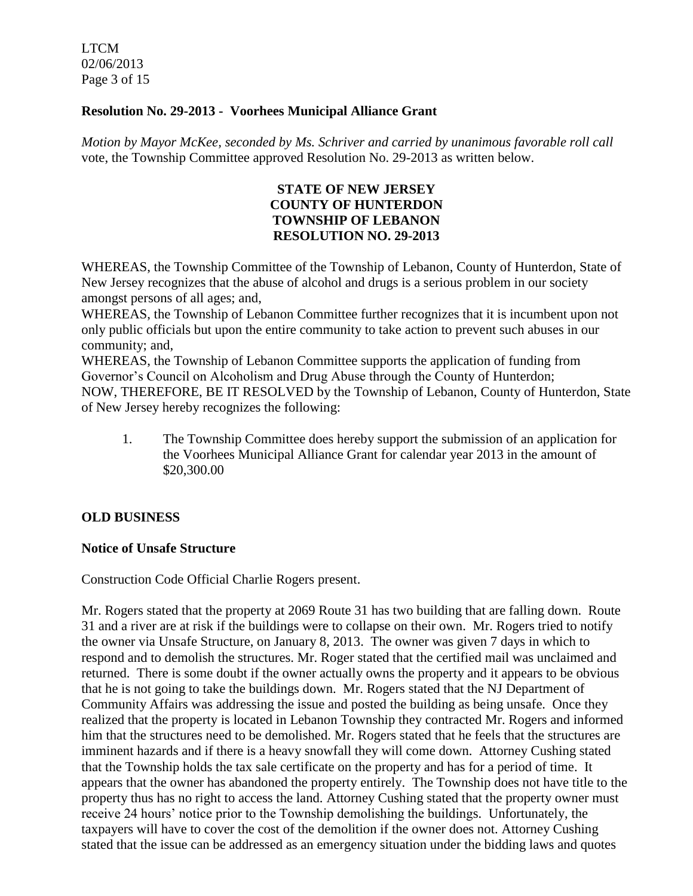LTCM 02/06/2013 Page 3 of 15

### **Resolution No. 29-2013 - Voorhees Municipal Alliance Grant**

*Motion by Mayor McKee, seconded by Ms. Schriver and carried by unanimous favorable roll call*  vote, the Township Committee approved Resolution No. 29-2013 as written below.

### **STATE OF NEW JERSEY COUNTY OF HUNTERDON TOWNSHIP OF LEBANON RESOLUTION NO. 29-2013**

WHEREAS, the Township Committee of the Township of Lebanon, County of Hunterdon, State of New Jersey recognizes that the abuse of alcohol and drugs is a serious problem in our society amongst persons of all ages; and,

WHEREAS, the Township of Lebanon Committee further recognizes that it is incumbent upon not only public officials but upon the entire community to take action to prevent such abuses in our community; and,

WHEREAS, the Township of Lebanon Committee supports the application of funding from Governor's Council on Alcoholism and Drug Abuse through the County of Hunterdon; NOW, THEREFORE, BE IT RESOLVED by the Township of Lebanon, County of Hunterdon, State of New Jersey hereby recognizes the following:

1. The Township Committee does hereby support the submission of an application for the Voorhees Municipal Alliance Grant for calendar year 2013 in the amount of \$20,300.00

## **OLD BUSINESS**

## **Notice of Unsafe Structure**

Construction Code Official Charlie Rogers present.

Mr. Rogers stated that the property at 2069 Route 31 has two building that are falling down. Route 31 and a river are at risk if the buildings were to collapse on their own. Mr. Rogers tried to notify the owner via Unsafe Structure, on January 8, 2013. The owner was given 7 days in which to respond and to demolish the structures. Mr. Roger stated that the certified mail was unclaimed and returned. There is some doubt if the owner actually owns the property and it appears to be obvious that he is not going to take the buildings down. Mr. Rogers stated that the NJ Department of Community Affairs was addressing the issue and posted the building as being unsafe. Once they realized that the property is located in Lebanon Township they contracted Mr. Rogers and informed him that the structures need to be demolished. Mr. Rogers stated that he feels that the structures are imminent hazards and if there is a heavy snowfall they will come down. Attorney Cushing stated that the Township holds the tax sale certificate on the property and has for a period of time. It appears that the owner has abandoned the property entirely. The Township does not have title to the property thus has no right to access the land. Attorney Cushing stated that the property owner must receive 24 hours' notice prior to the Township demolishing the buildings. Unfortunately, the taxpayers will have to cover the cost of the demolition if the owner does not. Attorney Cushing stated that the issue can be addressed as an emergency situation under the bidding laws and quotes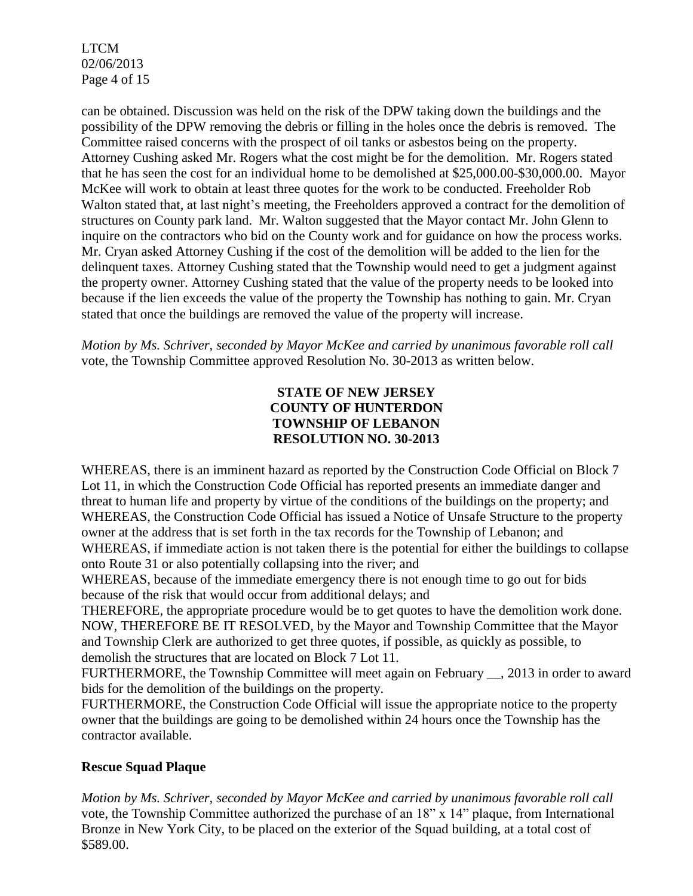LTCM 02/06/2013 Page 4 of 15

can be obtained. Discussion was held on the risk of the DPW taking down the buildings and the possibility of the DPW removing the debris or filling in the holes once the debris is removed. The Committee raised concerns with the prospect of oil tanks or asbestos being on the property. Attorney Cushing asked Mr. Rogers what the cost might be for the demolition. Mr. Rogers stated that he has seen the cost for an individual home to be demolished at \$25,000.00-\$30,000.00. Mayor McKee will work to obtain at least three quotes for the work to be conducted. Freeholder Rob Walton stated that, at last night's meeting, the Freeholders approved a contract for the demolition of structures on County park land. Mr. Walton suggested that the Mayor contact Mr. John Glenn to inquire on the contractors who bid on the County work and for guidance on how the process works. Mr. Cryan asked Attorney Cushing if the cost of the demolition will be added to the lien for the delinquent taxes. Attorney Cushing stated that the Township would need to get a judgment against the property owner. Attorney Cushing stated that the value of the property needs to be looked into because if the lien exceeds the value of the property the Township has nothing to gain. Mr. Cryan stated that once the buildings are removed the value of the property will increase.

*Motion by Ms. Schriver, seconded by Mayor McKee and carried by unanimous favorable roll call*  vote, the Township Committee approved Resolution No. 30-2013 as written below.

## **STATE OF NEW JERSEY COUNTY OF HUNTERDON TOWNSHIP OF LEBANON RESOLUTION NO. 30-2013**

WHEREAS, there is an imminent hazard as reported by the Construction Code Official on Block 7 Lot 11, in which the Construction Code Official has reported presents an immediate danger and threat to human life and property by virtue of the conditions of the buildings on the property; and WHEREAS, the Construction Code Official has issued a Notice of Unsafe Structure to the property owner at the address that is set forth in the tax records for the Township of Lebanon; and WHEREAS, if immediate action is not taken there is the potential for either the buildings to collapse onto Route 31 or also potentially collapsing into the river; and

WHEREAS, because of the immediate emergency there is not enough time to go out for bids because of the risk that would occur from additional delays; and

THEREFORE, the appropriate procedure would be to get quotes to have the demolition work done. NOW, THEREFORE BE IT RESOLVED, by the Mayor and Township Committee that the Mayor and Township Clerk are authorized to get three quotes, if possible, as quickly as possible, to demolish the structures that are located on Block 7 Lot 11.

FURTHERMORE, the Township Committee will meet again on February . 2013 in order to award bids for the demolition of the buildings on the property.

FURTHERMORE, the Construction Code Official will issue the appropriate notice to the property owner that the buildings are going to be demolished within 24 hours once the Township has the contractor available.

## **Rescue Squad Plaque**

*Motion by Ms. Schriver, seconded by Mayor McKee and carried by unanimous favorable roll call*  vote, the Township Committee authorized the purchase of an 18" x 14" plaque, from International Bronze in New York City, to be placed on the exterior of the Squad building, at a total cost of \$589.00.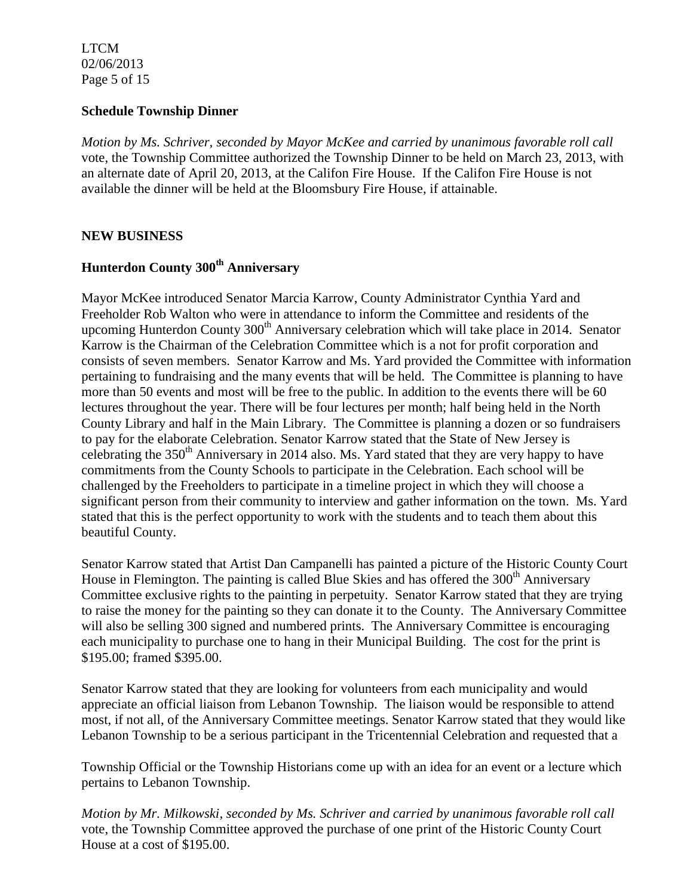LTCM 02/06/2013 Page 5 of 15

#### **Schedule Township Dinner**

*Motion by Ms. Schriver, seconded by Mayor McKee and carried by unanimous favorable roll call*  vote, the Township Committee authorized the Township Dinner to be held on March 23, 2013, with an alternate date of April 20, 2013, at the Califon Fire House. If the Califon Fire House is not available the dinner will be held at the Bloomsbury Fire House, if attainable.

### **NEW BUSINESS**

# **Hunterdon County 300th Anniversary**

Mayor McKee introduced Senator Marcia Karrow, County Administrator Cynthia Yard and Freeholder Rob Walton who were in attendance to inform the Committee and residents of the upcoming Hunterdon County 300<sup>th</sup> Anniversary celebration which will take place in 2014. Senator Karrow is the Chairman of the Celebration Committee which is a not for profit corporation and consists of seven members. Senator Karrow and Ms. Yard provided the Committee with information pertaining to fundraising and the many events that will be held. The Committee is planning to have more than 50 events and most will be free to the public. In addition to the events there will be 60 lectures throughout the year. There will be four lectures per month; half being held in the North County Library and half in the Main Library. The Committee is planning a dozen or so fundraisers to pay for the elaborate Celebration. Senator Karrow stated that the State of New Jersey is celebrating the  $350<sup>th</sup>$  Anniversary in 2014 also. Ms. Yard stated that they are very happy to have commitments from the County Schools to participate in the Celebration. Each school will be challenged by the Freeholders to participate in a timeline project in which they will choose a significant person from their community to interview and gather information on the town. Ms. Yard stated that this is the perfect opportunity to work with the students and to teach them about this beautiful County.

Senator Karrow stated that Artist Dan Campanelli has painted a picture of the Historic County Court House in Flemington. The painting is called Blue Skies and has offered the  $300<sup>th</sup>$  Anniversary Committee exclusive rights to the painting in perpetuity. Senator Karrow stated that they are trying to raise the money for the painting so they can donate it to the County. The Anniversary Committee will also be selling 300 signed and numbered prints. The Anniversary Committee is encouraging each municipality to purchase one to hang in their Municipal Building. The cost for the print is \$195.00; framed \$395.00.

Senator Karrow stated that they are looking for volunteers from each municipality and would appreciate an official liaison from Lebanon Township. The liaison would be responsible to attend most, if not all, of the Anniversary Committee meetings. Senator Karrow stated that they would like Lebanon Township to be a serious participant in the Tricentennial Celebration and requested that a

Township Official or the Township Historians come up with an idea for an event or a lecture which pertains to Lebanon Township.

*Motion by Mr. Milkowski, seconded by Ms. Schriver and carried by unanimous favorable roll call*  vote, the Township Committee approved the purchase of one print of the Historic County Court House at a cost of \$195.00.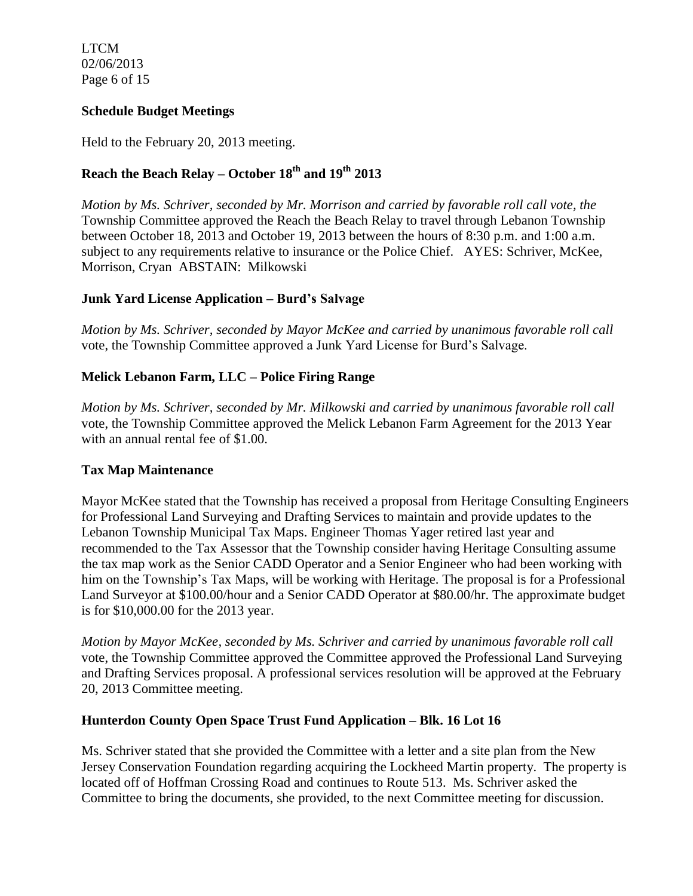LTCM 02/06/2013 Page 6 of 15

## **Schedule Budget Meetings**

Held to the February 20, 2013 meeting.

## **Reach the Beach Relay – October 18th and 19th 2013**

*Motion by Ms. Schriver, seconded by Mr. Morrison and carried by favorable roll call vote, the* Township Committee approved the Reach the Beach Relay to travel through Lebanon Township between October 18, 2013 and October 19, 2013 between the hours of 8:30 p.m. and 1:00 a.m. subject to any requirements relative to insurance or the Police Chief. AYES: Schriver, McKee, Morrison, Cryan ABSTAIN: Milkowski

### **Junk Yard License Application – Burd's Salvage**

*Motion by Ms. Schriver, seconded by Mayor McKee and carried by unanimous favorable roll call*  vote, the Township Committee approved a Junk Yard License for Burd's Salvage.

### **Melick Lebanon Farm, LLC – Police Firing Range**

*Motion by Ms. Schriver, seconded by Mr. Milkowski and carried by unanimous favorable roll call*  vote, the Township Committee approved the Melick Lebanon Farm Agreement for the 2013 Year with an annual rental fee of \$1.00.

#### **Tax Map Maintenance**

Mayor McKee stated that the Township has received a proposal from Heritage Consulting Engineers for Professional Land Surveying and Drafting Services to maintain and provide updates to the Lebanon Township Municipal Tax Maps. Engineer Thomas Yager retired last year and recommended to the Tax Assessor that the Township consider having Heritage Consulting assume the tax map work as the Senior CADD Operator and a Senior Engineer who had been working with him on the Township's Tax Maps, will be working with Heritage. The proposal is for a Professional Land Surveyor at \$100.00/hour and a Senior CADD Operator at \$80.00/hr. The approximate budget is for \$10,000.00 for the 2013 year.

*Motion by Mayor McKee, seconded by Ms. Schriver and carried by unanimous favorable roll call*  vote, the Township Committee approved the Committee approved the Professional Land Surveying and Drafting Services proposal. A professional services resolution will be approved at the February 20, 2013 Committee meeting.

#### **Hunterdon County Open Space Trust Fund Application – Blk. 16 Lot 16**

Ms. Schriver stated that she provided the Committee with a letter and a site plan from the New Jersey Conservation Foundation regarding acquiring the Lockheed Martin property. The property is located off of Hoffman Crossing Road and continues to Route 513. Ms. Schriver asked the Committee to bring the documents, she provided, to the next Committee meeting for discussion.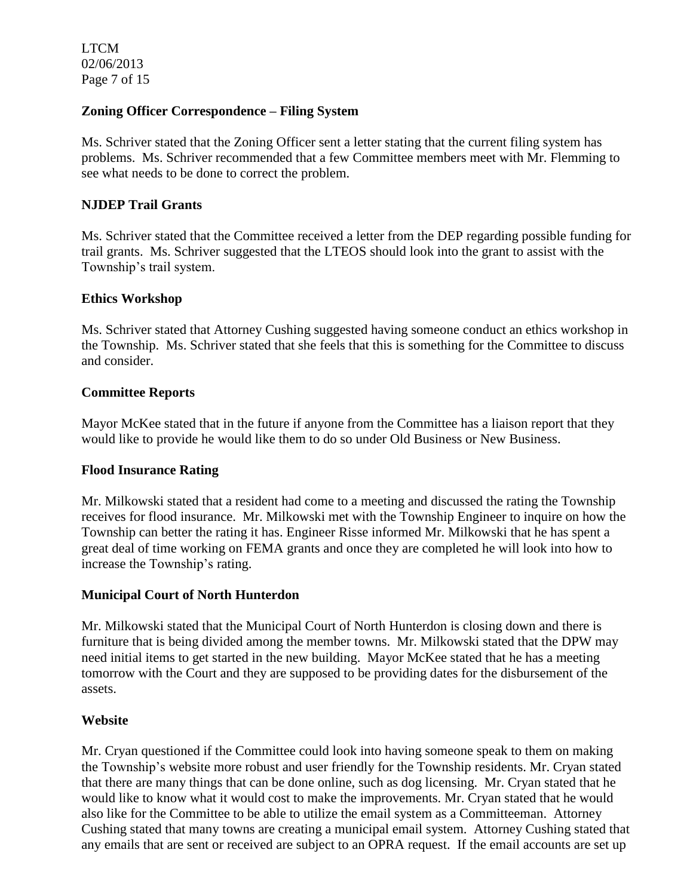LTCM 02/06/2013 Page 7 of 15

#### **Zoning Officer Correspondence – Filing System**

Ms. Schriver stated that the Zoning Officer sent a letter stating that the current filing system has problems. Ms. Schriver recommended that a few Committee members meet with Mr. Flemming to see what needs to be done to correct the problem.

## **NJDEP Trail Grants**

Ms. Schriver stated that the Committee received a letter from the DEP regarding possible funding for trail grants. Ms. Schriver suggested that the LTEOS should look into the grant to assist with the Township's trail system.

#### **Ethics Workshop**

Ms. Schriver stated that Attorney Cushing suggested having someone conduct an ethics workshop in the Township. Ms. Schriver stated that she feels that this is something for the Committee to discuss and consider.

### **Committee Reports**

Mayor McKee stated that in the future if anyone from the Committee has a liaison report that they would like to provide he would like them to do so under Old Business or New Business.

#### **Flood Insurance Rating**

Mr. Milkowski stated that a resident had come to a meeting and discussed the rating the Township receives for flood insurance. Mr. Milkowski met with the Township Engineer to inquire on how the Township can better the rating it has. Engineer Risse informed Mr. Milkowski that he has spent a great deal of time working on FEMA grants and once they are completed he will look into how to increase the Township's rating.

#### **Municipal Court of North Hunterdon**

Mr. Milkowski stated that the Municipal Court of North Hunterdon is closing down and there is furniture that is being divided among the member towns. Mr. Milkowski stated that the DPW may need initial items to get started in the new building. Mayor McKee stated that he has a meeting tomorrow with the Court and they are supposed to be providing dates for the disbursement of the assets.

#### **Website**

Mr. Cryan questioned if the Committee could look into having someone speak to them on making the Township's website more robust and user friendly for the Township residents. Mr. Cryan stated that there are many things that can be done online, such as dog licensing. Mr. Cryan stated that he would like to know what it would cost to make the improvements. Mr. Cryan stated that he would also like for the Committee to be able to utilize the email system as a Committeeman. Attorney Cushing stated that many towns are creating a municipal email system. Attorney Cushing stated that any emails that are sent or received are subject to an OPRA request. If the email accounts are set up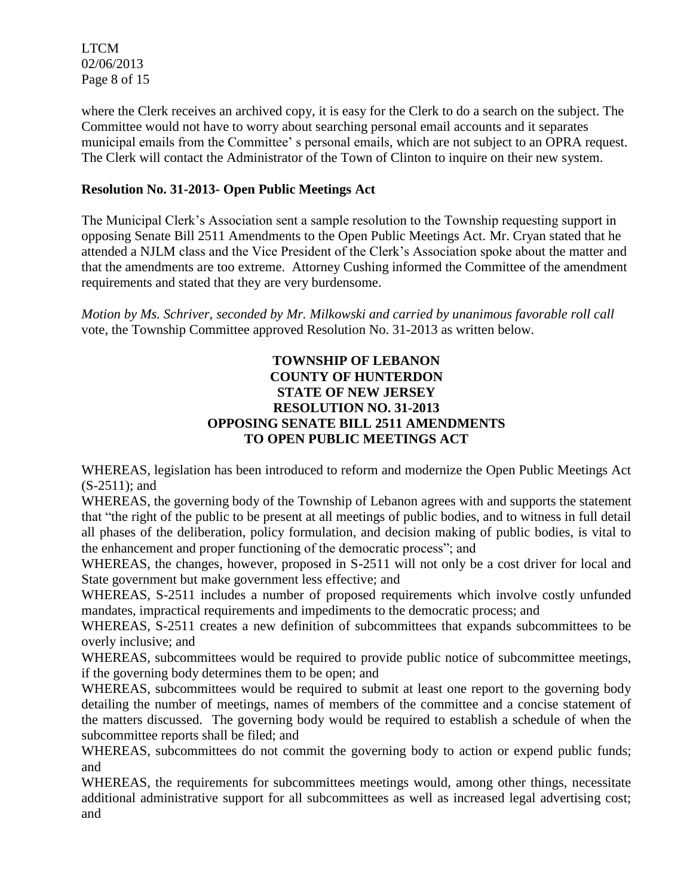LTCM 02/06/2013 Page 8 of 15

where the Clerk receives an archived copy, it is easy for the Clerk to do a search on the subject. The Committee would not have to worry about searching personal email accounts and it separates municipal emails from the Committee' s personal emails, which are not subject to an OPRA request. The Clerk will contact the Administrator of the Town of Clinton to inquire on their new system.

## **Resolution No. 31-2013- Open Public Meetings Act**

The Municipal Clerk's Association sent a sample resolution to the Township requesting support in opposing Senate Bill 2511 Amendments to the Open Public Meetings Act. Mr. Cryan stated that he attended a NJLM class and the Vice President of the Clerk's Association spoke about the matter and that the amendments are too extreme. Attorney Cushing informed the Committee of the amendment requirements and stated that they are very burdensome.

*Motion by Ms. Schriver, seconded by Mr. Milkowski and carried by unanimous favorable roll call*  vote, the Township Committee approved Resolution No. 31-2013 as written below.

### **TOWNSHIP OF LEBANON COUNTY OF HUNTERDON STATE OF NEW JERSEY RESOLUTION NO. 31-2013 OPPOSING SENATE BILL 2511 AMENDMENTS TO OPEN PUBLIC MEETINGS ACT**

WHEREAS, legislation has been introduced to reform and modernize the Open Public Meetings Act (S-2511); and

WHEREAS, the governing body of the Township of Lebanon agrees with and supports the statement that "the right of the public to be present at all meetings of public bodies, and to witness in full detail all phases of the deliberation, policy formulation, and decision making of public bodies, is vital to the enhancement and proper functioning of the democratic process"; and

WHEREAS, the changes, however, proposed in S-2511 will not only be a cost driver for local and State government but make government less effective; and

WHEREAS, S-2511 includes a number of proposed requirements which involve costly unfunded mandates, impractical requirements and impediments to the democratic process; and

WHEREAS, S-2511 creates a new definition of subcommittees that expands subcommittees to be overly inclusive; and

WHEREAS, subcommittees would be required to provide public notice of subcommittee meetings, if the governing body determines them to be open; and

WHEREAS, subcommittees would be required to submit at least one report to the governing body detailing the number of meetings, names of members of the committee and a concise statement of the matters discussed. The governing body would be required to establish a schedule of when the subcommittee reports shall be filed; and

WHEREAS, subcommittees do not commit the governing body to action or expend public funds; and

WHEREAS, the requirements for subcommittees meetings would, among other things, necessitate additional administrative support for all subcommittees as well as increased legal advertising cost; and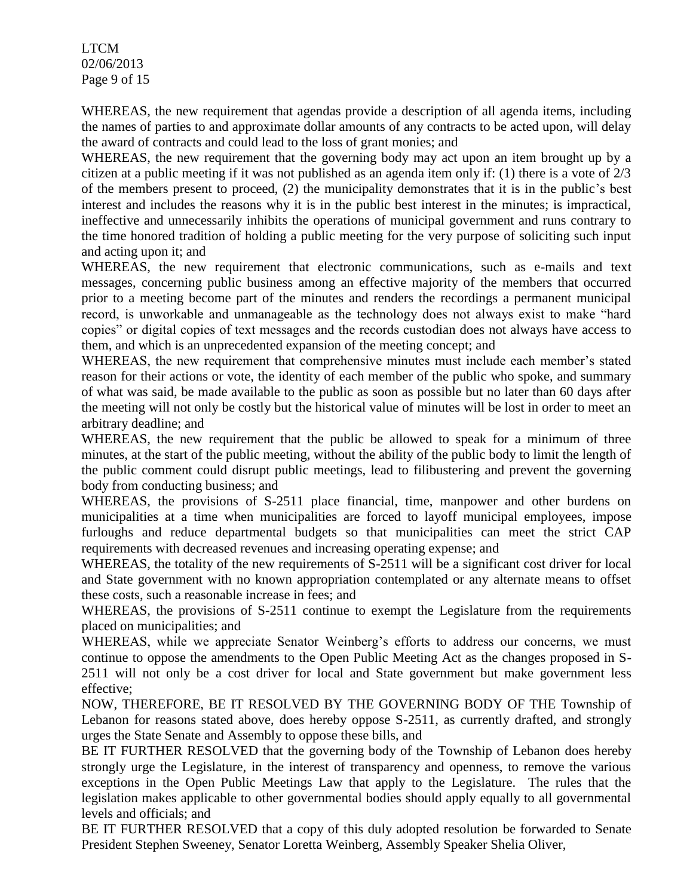LTCM 02/06/2013 Page 9 of 15

WHEREAS, the new requirement that agendas provide a description of all agenda items, including the names of parties to and approximate dollar amounts of any contracts to be acted upon, will delay the award of contracts and could lead to the loss of grant monies; and

WHEREAS, the new requirement that the governing body may act upon an item brought up by a citizen at a public meeting if it was not published as an agenda item only if: (1) there is a vote of 2/3 of the members present to proceed, (2) the municipality demonstrates that it is in the public's best interest and includes the reasons why it is in the public best interest in the minutes; is impractical, ineffective and unnecessarily inhibits the operations of municipal government and runs contrary to the time honored tradition of holding a public meeting for the very purpose of soliciting such input and acting upon it; and

WHEREAS, the new requirement that electronic communications, such as e-mails and text messages, concerning public business among an effective majority of the members that occurred prior to a meeting become part of the minutes and renders the recordings a permanent municipal record, is unworkable and unmanageable as the technology does not always exist to make "hard copies" or digital copies of text messages and the records custodian does not always have access to them, and which is an unprecedented expansion of the meeting concept; and

WHEREAS, the new requirement that comprehensive minutes must include each member's stated reason for their actions or vote, the identity of each member of the public who spoke, and summary of what was said, be made available to the public as soon as possible but no later than 60 days after the meeting will not only be costly but the historical value of minutes will be lost in order to meet an arbitrary deadline; and

WHEREAS, the new requirement that the public be allowed to speak for a minimum of three minutes, at the start of the public meeting, without the ability of the public body to limit the length of the public comment could disrupt public meetings, lead to filibustering and prevent the governing body from conducting business; and

WHEREAS, the provisions of S-2511 place financial, time, manpower and other burdens on municipalities at a time when municipalities are forced to layoff municipal employees, impose furloughs and reduce departmental budgets so that municipalities can meet the strict CAP requirements with decreased revenues and increasing operating expense; and

WHEREAS, the totality of the new requirements of S-2511 will be a significant cost driver for local and State government with no known appropriation contemplated or any alternate means to offset these costs, such a reasonable increase in fees; and

WHEREAS, the provisions of S-2511 continue to exempt the Legislature from the requirements placed on municipalities; and

WHEREAS, while we appreciate Senator Weinberg's efforts to address our concerns, we must continue to oppose the amendments to the Open Public Meeting Act as the changes proposed in S-2511 will not only be a cost driver for local and State government but make government less effective;

NOW, THEREFORE, BE IT RESOLVED BY THE GOVERNING BODY OF THE Township of Lebanon for reasons stated above, does hereby oppose S-2511, as currently drafted, and strongly urges the State Senate and Assembly to oppose these bills, and

BE IT FURTHER RESOLVED that the governing body of the Township of Lebanon does hereby strongly urge the Legislature, in the interest of transparency and openness, to remove the various exceptions in the Open Public Meetings Law that apply to the Legislature. The rules that the legislation makes applicable to other governmental bodies should apply equally to all governmental levels and officials; and

BE IT FURTHER RESOLVED that a copy of this duly adopted resolution be forwarded to Senate President Stephen Sweeney, Senator Loretta Weinberg, Assembly Speaker Shelia Oliver,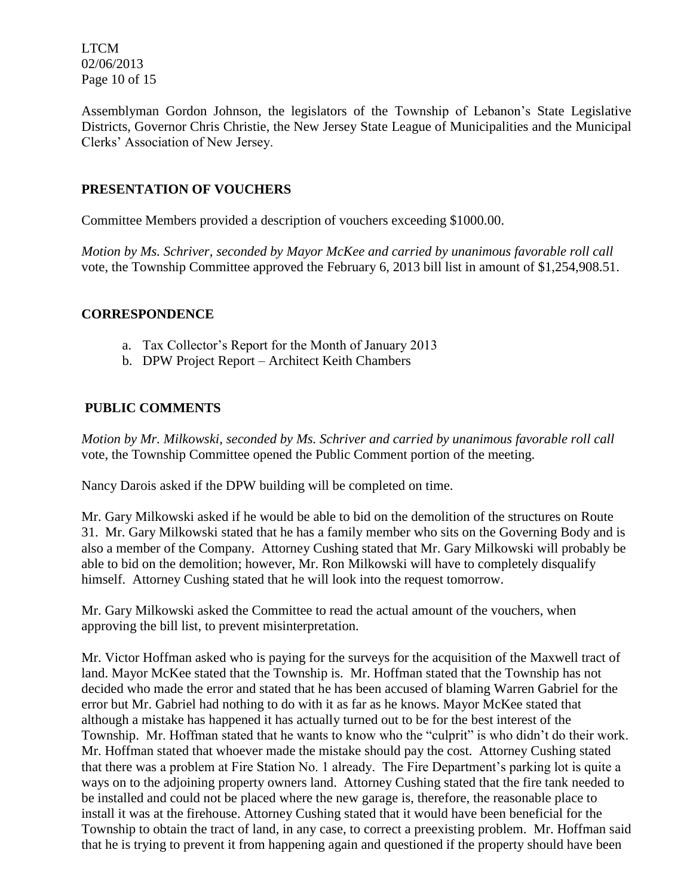LTCM 02/06/2013 Page 10 of 15

Assemblyman Gordon Johnson, the legislators of the Township of Lebanon's State Legislative Districts, Governor Chris Christie, the New Jersey State League of Municipalities and the Municipal Clerks' Association of New Jersey.

## **PRESENTATION OF VOUCHERS**

Committee Members provided a description of vouchers exceeding \$1000.00.

*Motion by Ms. Schriver, seconded by Mayor McKee and carried by unanimous favorable roll call*  vote, the Township Committee approved the February 6, 2013 bill list in amount of \$1,254,908.51.

## **CORRESPONDENCE**

- a. Tax Collector's Report for the Month of January 2013
- b. DPW Project Report Architect Keith Chambers

## **PUBLIC COMMENTS**

*Motion by Mr. Milkowski, seconded by Ms. Schriver and carried by unanimous favorable roll call*  vote, the Township Committee opened the Public Comment portion of the meeting.

Nancy Darois asked if the DPW building will be completed on time.

Mr. Gary Milkowski asked if he would be able to bid on the demolition of the structures on Route 31. Mr. Gary Milkowski stated that he has a family member who sits on the Governing Body and is also a member of the Company. Attorney Cushing stated that Mr. Gary Milkowski will probably be able to bid on the demolition; however, Mr. Ron Milkowski will have to completely disqualify himself. Attorney Cushing stated that he will look into the request tomorrow.

Mr. Gary Milkowski asked the Committee to read the actual amount of the vouchers, when approving the bill list, to prevent misinterpretation.

Mr. Victor Hoffman asked who is paying for the surveys for the acquisition of the Maxwell tract of land. Mayor McKee stated that the Township is. Mr. Hoffman stated that the Township has not decided who made the error and stated that he has been accused of blaming Warren Gabriel for the error but Mr. Gabriel had nothing to do with it as far as he knows. Mayor McKee stated that although a mistake has happened it has actually turned out to be for the best interest of the Township. Mr. Hoffman stated that he wants to know who the "culprit" is who didn't do their work. Mr. Hoffman stated that whoever made the mistake should pay the cost. Attorney Cushing stated that there was a problem at Fire Station No. 1 already. The Fire Department's parking lot is quite a ways on to the adjoining property owners land. Attorney Cushing stated that the fire tank needed to be installed and could not be placed where the new garage is, therefore, the reasonable place to install it was at the firehouse. Attorney Cushing stated that it would have been beneficial for the Township to obtain the tract of land, in any case, to correct a preexisting problem. Mr. Hoffman said that he is trying to prevent it from happening again and questioned if the property should have been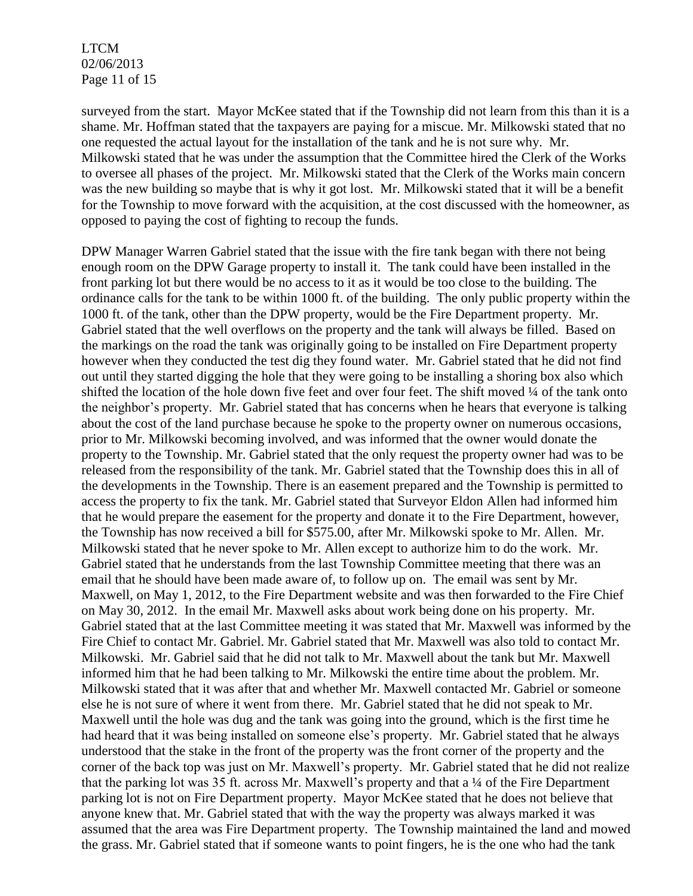LTCM 02/06/2013 Page 11 of 15

surveyed from the start. Mayor McKee stated that if the Township did not learn from this than it is a shame. Mr. Hoffman stated that the taxpayers are paying for a miscue. Mr. Milkowski stated that no one requested the actual layout for the installation of the tank and he is not sure why. Mr. Milkowski stated that he was under the assumption that the Committee hired the Clerk of the Works to oversee all phases of the project. Mr. Milkowski stated that the Clerk of the Works main concern was the new building so maybe that is why it got lost. Mr. Milkowski stated that it will be a benefit for the Township to move forward with the acquisition, at the cost discussed with the homeowner, as opposed to paying the cost of fighting to recoup the funds.

DPW Manager Warren Gabriel stated that the issue with the fire tank began with there not being enough room on the DPW Garage property to install it. The tank could have been installed in the front parking lot but there would be no access to it as it would be too close to the building. The ordinance calls for the tank to be within 1000 ft. of the building. The only public property within the 1000 ft. of the tank, other than the DPW property, would be the Fire Department property. Mr. Gabriel stated that the well overflows on the property and the tank will always be filled. Based on the markings on the road the tank was originally going to be installed on Fire Department property however when they conducted the test dig they found water. Mr. Gabriel stated that he did not find out until they started digging the hole that they were going to be installing a shoring box also which shifted the location of the hole down five feet and over four feet. The shift moved 1/4 of the tank onto the neighbor's property. Mr. Gabriel stated that has concerns when he hears that everyone is talking about the cost of the land purchase because he spoke to the property owner on numerous occasions, prior to Mr. Milkowski becoming involved, and was informed that the owner would donate the property to the Township. Mr. Gabriel stated that the only request the property owner had was to be released from the responsibility of the tank. Mr. Gabriel stated that the Township does this in all of the developments in the Township. There is an easement prepared and the Township is permitted to access the property to fix the tank. Mr. Gabriel stated that Surveyor Eldon Allen had informed him that he would prepare the easement for the property and donate it to the Fire Department, however, the Township has now received a bill for \$575.00, after Mr. Milkowski spoke to Mr. Allen. Mr. Milkowski stated that he never spoke to Mr. Allen except to authorize him to do the work. Mr. Gabriel stated that he understands from the last Township Committee meeting that there was an email that he should have been made aware of, to follow up on. The email was sent by Mr. Maxwell, on May 1, 2012, to the Fire Department website and was then forwarded to the Fire Chief on May 30, 2012. In the email Mr. Maxwell asks about work being done on his property. Mr. Gabriel stated that at the last Committee meeting it was stated that Mr. Maxwell was informed by the Fire Chief to contact Mr. Gabriel. Mr. Gabriel stated that Mr. Maxwell was also told to contact Mr. Milkowski. Mr. Gabriel said that he did not talk to Mr. Maxwell about the tank but Mr. Maxwell informed him that he had been talking to Mr. Milkowski the entire time about the problem. Mr. Milkowski stated that it was after that and whether Mr. Maxwell contacted Mr. Gabriel or someone else he is not sure of where it went from there. Mr. Gabriel stated that he did not speak to Mr. Maxwell until the hole was dug and the tank was going into the ground, which is the first time he had heard that it was being installed on someone else's property. Mr. Gabriel stated that he always understood that the stake in the front of the property was the front corner of the property and the corner of the back top was just on Mr. Maxwell's property. Mr. Gabriel stated that he did not realize that the parking lot was 35 ft. across Mr. Maxwell's property and that a ¼ of the Fire Department parking lot is not on Fire Department property. Mayor McKee stated that he does not believe that anyone knew that. Mr. Gabriel stated that with the way the property was always marked it was assumed that the area was Fire Department property. The Township maintained the land and mowed the grass. Mr. Gabriel stated that if someone wants to point fingers, he is the one who had the tank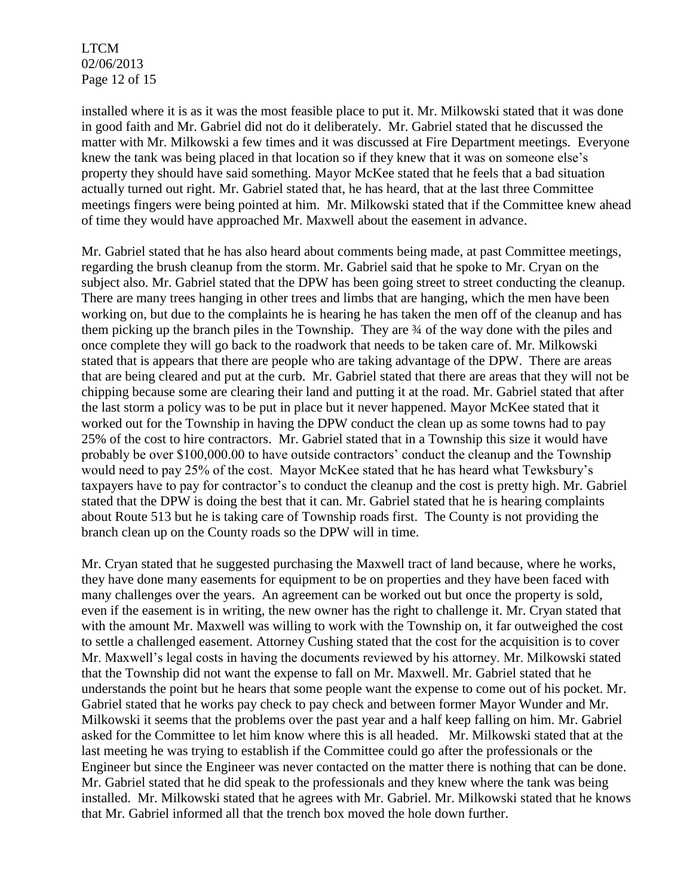LTCM 02/06/2013 Page 12 of 15

installed where it is as it was the most feasible place to put it. Mr. Milkowski stated that it was done in good faith and Mr. Gabriel did not do it deliberately. Mr. Gabriel stated that he discussed the matter with Mr. Milkowski a few times and it was discussed at Fire Department meetings. Everyone knew the tank was being placed in that location so if they knew that it was on someone else's property they should have said something. Mayor McKee stated that he feels that a bad situation actually turned out right. Mr. Gabriel stated that, he has heard, that at the last three Committee meetings fingers were being pointed at him. Mr. Milkowski stated that if the Committee knew ahead of time they would have approached Mr. Maxwell about the easement in advance.

Mr. Gabriel stated that he has also heard about comments being made, at past Committee meetings, regarding the brush cleanup from the storm. Mr. Gabriel said that he spoke to Mr. Cryan on the subject also. Mr. Gabriel stated that the DPW has been going street to street conducting the cleanup. There are many trees hanging in other trees and limbs that are hanging, which the men have been working on, but due to the complaints he is hearing he has taken the men off of the cleanup and has them picking up the branch piles in the Township. They are ¾ of the way done with the piles and once complete they will go back to the roadwork that needs to be taken care of. Mr. Milkowski stated that is appears that there are people who are taking advantage of the DPW. There are areas that are being cleared and put at the curb. Mr. Gabriel stated that there are areas that they will not be chipping because some are clearing their land and putting it at the road. Mr. Gabriel stated that after the last storm a policy was to be put in place but it never happened. Mayor McKee stated that it worked out for the Township in having the DPW conduct the clean up as some towns had to pay 25% of the cost to hire contractors. Mr. Gabriel stated that in a Township this size it would have probably be over \$100,000.00 to have outside contractors' conduct the cleanup and the Township would need to pay 25% of the cost. Mayor McKee stated that he has heard what Tewksbury's taxpayers have to pay for contractor's to conduct the cleanup and the cost is pretty high. Mr. Gabriel stated that the DPW is doing the best that it can. Mr. Gabriel stated that he is hearing complaints about Route 513 but he is taking care of Township roads first. The County is not providing the branch clean up on the County roads so the DPW will in time.

Mr. Cryan stated that he suggested purchasing the Maxwell tract of land because, where he works, they have done many easements for equipment to be on properties and they have been faced with many challenges over the years. An agreement can be worked out but once the property is sold, even if the easement is in writing, the new owner has the right to challenge it. Mr. Cryan stated that with the amount Mr. Maxwell was willing to work with the Township on, it far outweighed the cost to settle a challenged easement. Attorney Cushing stated that the cost for the acquisition is to cover Mr. Maxwell's legal costs in having the documents reviewed by his attorney. Mr. Milkowski stated that the Township did not want the expense to fall on Mr. Maxwell. Mr. Gabriel stated that he understands the point but he hears that some people want the expense to come out of his pocket. Mr. Gabriel stated that he works pay check to pay check and between former Mayor Wunder and Mr. Milkowski it seems that the problems over the past year and a half keep falling on him. Mr. Gabriel asked for the Committee to let him know where this is all headed. Mr. Milkowski stated that at the last meeting he was trying to establish if the Committee could go after the professionals or the Engineer but since the Engineer was never contacted on the matter there is nothing that can be done. Mr. Gabriel stated that he did speak to the professionals and they knew where the tank was being installed. Mr. Milkowski stated that he agrees with Mr. Gabriel. Mr. Milkowski stated that he knows that Mr. Gabriel informed all that the trench box moved the hole down further.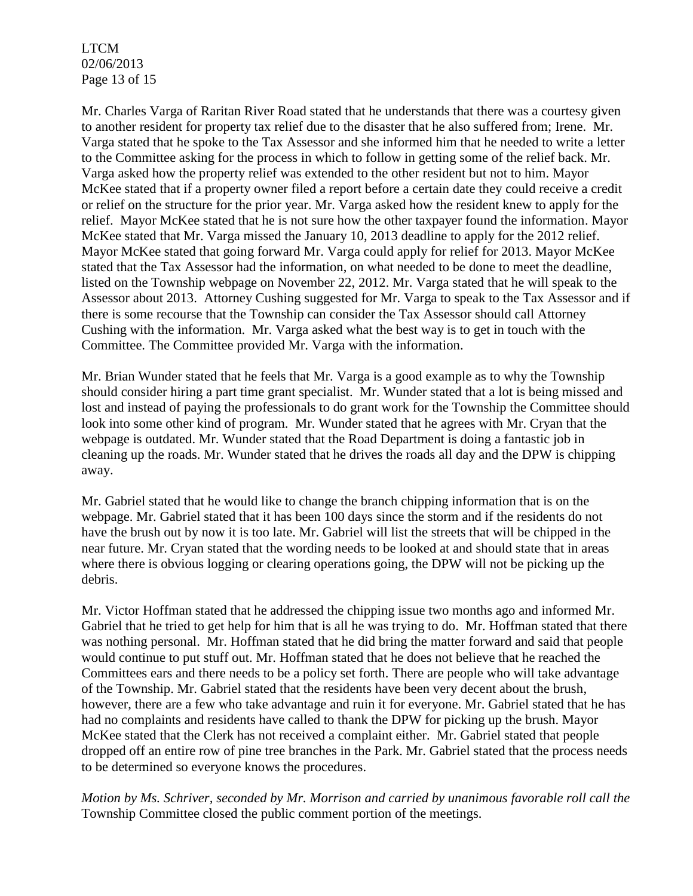LTCM 02/06/2013 Page 13 of 15

Mr. Charles Varga of Raritan River Road stated that he understands that there was a courtesy given to another resident for property tax relief due to the disaster that he also suffered from; Irene. Mr. Varga stated that he spoke to the Tax Assessor and she informed him that he needed to write a letter to the Committee asking for the process in which to follow in getting some of the relief back. Mr. Varga asked how the property relief was extended to the other resident but not to him. Mayor McKee stated that if a property owner filed a report before a certain date they could receive a credit or relief on the structure for the prior year. Mr. Varga asked how the resident knew to apply for the relief. Mayor McKee stated that he is not sure how the other taxpayer found the information. Mayor McKee stated that Mr. Varga missed the January 10, 2013 deadline to apply for the 2012 relief. Mayor McKee stated that going forward Mr. Varga could apply for relief for 2013. Mayor McKee stated that the Tax Assessor had the information, on what needed to be done to meet the deadline, listed on the Township webpage on November 22, 2012. Mr. Varga stated that he will speak to the Assessor about 2013. Attorney Cushing suggested for Mr. Varga to speak to the Tax Assessor and if there is some recourse that the Township can consider the Tax Assessor should call Attorney Cushing with the information. Mr. Varga asked what the best way is to get in touch with the Committee. The Committee provided Mr. Varga with the information.

Mr. Brian Wunder stated that he feels that Mr. Varga is a good example as to why the Township should consider hiring a part time grant specialist. Mr. Wunder stated that a lot is being missed and lost and instead of paying the professionals to do grant work for the Township the Committee should look into some other kind of program. Mr. Wunder stated that he agrees with Mr. Cryan that the webpage is outdated. Mr. Wunder stated that the Road Department is doing a fantastic job in cleaning up the roads. Mr. Wunder stated that he drives the roads all day and the DPW is chipping away.

Mr. Gabriel stated that he would like to change the branch chipping information that is on the webpage. Mr. Gabriel stated that it has been 100 days since the storm and if the residents do not have the brush out by now it is too late. Mr. Gabriel will list the streets that will be chipped in the near future. Mr. Cryan stated that the wording needs to be looked at and should state that in areas where there is obvious logging or clearing operations going, the DPW will not be picking up the debris.

Mr. Victor Hoffman stated that he addressed the chipping issue two months ago and informed Mr. Gabriel that he tried to get help for him that is all he was trying to do. Mr. Hoffman stated that there was nothing personal. Mr. Hoffman stated that he did bring the matter forward and said that people would continue to put stuff out. Mr. Hoffman stated that he does not believe that he reached the Committees ears and there needs to be a policy set forth. There are people who will take advantage of the Township. Mr. Gabriel stated that the residents have been very decent about the brush, however, there are a few who take advantage and ruin it for everyone. Mr. Gabriel stated that he has had no complaints and residents have called to thank the DPW for picking up the brush. Mayor McKee stated that the Clerk has not received a complaint either. Mr. Gabriel stated that people dropped off an entire row of pine tree branches in the Park. Mr. Gabriel stated that the process needs to be determined so everyone knows the procedures.

*Motion by Ms. Schriver, seconded by Mr. Morrison and carried by unanimous favorable roll call the* Township Committee closed the public comment portion of the meetings.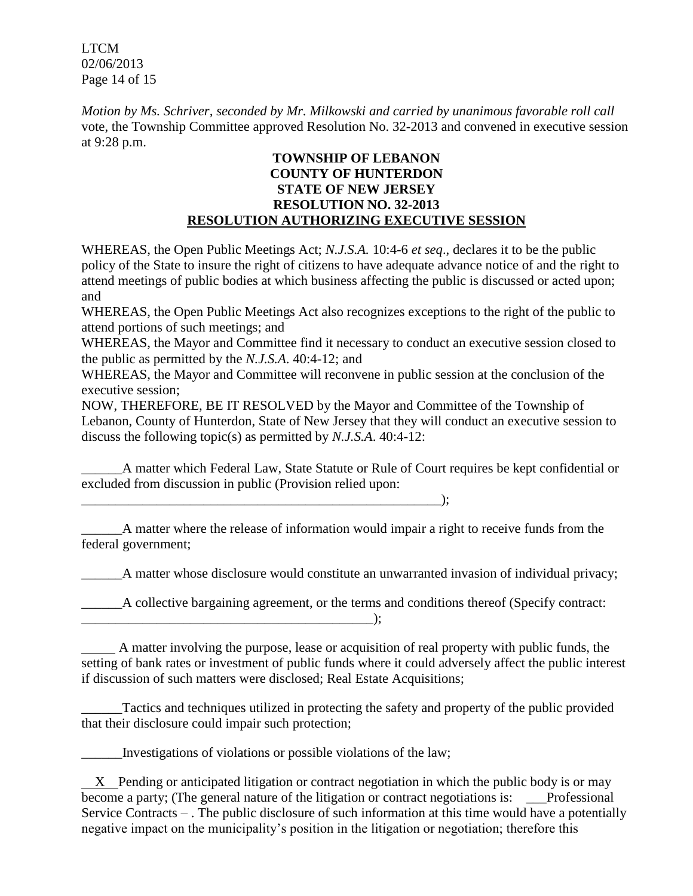LTCM 02/06/2013 Page 14 of 15

*Motion by Ms. Schriver, seconded by Mr. Milkowski and carried by unanimous favorable roll call*  vote, the Township Committee approved Resolution No. 32-2013 and convened in executive session at 9:28 p.m.

#### **TOWNSHIP OF LEBANON COUNTY OF HUNTERDON STATE OF NEW JERSEY RESOLUTION NO. 32-2013 RESOLUTION AUTHORIZING EXECUTIVE SESSION**

WHEREAS, the Open Public Meetings Act; *N.J.S.A.* 10:4-6 *et seq*., declares it to be the public policy of the State to insure the right of citizens to have adequate advance notice of and the right to attend meetings of public bodies at which business affecting the public is discussed or acted upon; and

WHEREAS, the Open Public Meetings Act also recognizes exceptions to the right of the public to attend portions of such meetings; and

WHEREAS, the Mayor and Committee find it necessary to conduct an executive session closed to the public as permitted by the *N.J.S.A*. 40:4-12; and

WHEREAS, the Mayor and Committee will reconvene in public session at the conclusion of the executive session;

NOW, THEREFORE, BE IT RESOLVED by the Mayor and Committee of the Township of Lebanon, County of Hunterdon, State of New Jersey that they will conduct an executive session to discuss the following topic(s) as permitted by *N.J.S.A*. 40:4-12:

A matter which Federal Law, State Statute or Rule of Court requires be kept confidential or excluded from discussion in public (Provision relied upon:

\_\_\_\_\_\_\_\_\_\_\_\_\_\_\_\_\_\_\_\_\_\_\_\_\_\_\_\_\_\_\_\_\_\_\_\_\_\_\_\_\_\_\_\_\_\_\_\_\_\_\_\_\_);

\_\_\_\_\_\_A matter where the release of information would impair a right to receive funds from the federal government;

A matter whose disclosure would constitute an unwarranted invasion of individual privacy;

\_\_\_\_\_\_A collective bargaining agreement, or the terms and conditions thereof (Specify contract:

 A matter involving the purpose, lease or acquisition of real property with public funds, the setting of bank rates or investment of public funds where it could adversely affect the public interest if discussion of such matters were disclosed; Real Estate Acquisitions;

\_\_\_\_\_\_Tactics and techniques utilized in protecting the safety and property of the public provided that their disclosure could impair such protection;

\_\_\_\_\_\_Investigations of violations or possible violations of the law;

 $\qquad \qquad )$ ;

 $X$  Pending or anticipated litigation or contract negotiation in which the public body is or may become a party; (The general nature of the litigation or contract negotiations is: Professional Service Contracts – . The public disclosure of such information at this time would have a potentially negative impact on the municipality's position in the litigation or negotiation; therefore this